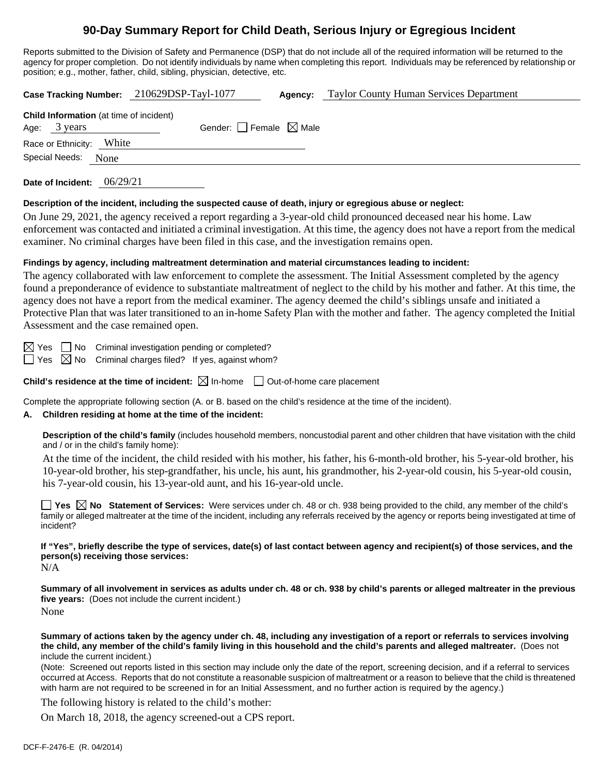# **90-Day Summary Report for Child Death, Serious Injury or Egregious Incident**

Reports submitted to the Division of Safety and Permanence (DSP) that do not include all of the required information will be returned to the agency for proper completion. Do not identify individuals by name when completing this report. Individuals may be referenced by relationship or position; e.g., mother, father, child, sibling, physician, detective, etc.

**Case Tracking Number:** 210629DSP-Tayl-1077 **Agency:** Taylor County Human Services Department **Child Information** (at time of incident) Age:  $3 \text{ years}$  Gender: Female  $\boxtimes$  Male Race or Ethnicity: White Special Needs: None

**Date of Incident:** 06/29/21

#### **Description of the incident, including the suspected cause of death, injury or egregious abuse or neglect:**

On June 29, 2021, the agency received a report regarding a 3-year-old child pronounced deceased near his home. Law enforcement was contacted and initiated a criminal investigation. At this time, the agency does not have a report from the medical examiner. No criminal charges have been filed in this case, and the investigation remains open.

#### **Findings by agency, including maltreatment determination and material circumstances leading to incident:**

The agency collaborated with law enforcement to complete the assessment. The Initial Assessment completed by the agency found a preponderance of evidence to substantiate maltreatment of neglect to the child by his mother and father. At this time, the agency does not have a report from the medical examiner. The agency deemed the child's siblings unsafe and initiated a Protective Plan that was later transitioned to an in-home Safety Plan with the mother and father. The agency completed the Initial Assessment and the case remained open.

 $\boxtimes$  Yes  $\Box$  No Criminal investigation pending or completed?

 $\Box$  Yes  $\boxtimes$  No Criminal charges filed? If yes, against whom?

**Child's residence at the time of incident:**  $\boxtimes$  In-home  $\Box$  Out-of-home care placement

Complete the appropriate following section (A. or B. based on the child's residence at the time of the incident).

### **A. Children residing at home at the time of the incident:**

**Description of the child's family** (includes household members, noncustodial parent and other children that have visitation with the child and / or in the child's family home):

At the time of the incident, the child resided with his mother, his father, his 6-month-old brother, his 5-year-old brother, his 10-year-old brother, his step-grandfather, his uncle, his aunt, his grandmother, his 2-year-old cousin, his 5-year-old cousin, his 7-year-old cousin, his 13-year-old aunt, and his 16-year-old uncle.

■ Yes △ No Statement of Services: Were services under ch. 48 or ch. 938 being provided to the child, any member of the child's family or alleged maltreater at the time of the incident, including any referrals received by the agency or reports being investigated at time of incident?

**If "Yes", briefly describe the type of services, date(s) of last contact between agency and recipient(s) of those services, and the person(s) receiving those services:**

 $N/A$ 

**Summary of all involvement in services as adults under ch. 48 or ch. 938 by child's parents or alleged maltreater in the previous five years:** (Does not include the current incident.) None

**Summary of actions taken by the agency under ch. 48, including any investigation of a report or referrals to services involving the child, any member of the child's family living in this household and the child's parents and alleged maltreater.** (Does not include the current incident.)

(Note: Screened out reports listed in this section may include only the date of the report, screening decision, and if a referral to services occurred at Access. Reports that do not constitute a reasonable suspicion of maltreatment or a reason to believe that the child is threatened with harm are not required to be screened in for an Initial Assessment, and no further action is required by the agency.)

The following history is related to the child's mother:

On March 18, 2018, the agency screened-out a CPS report.